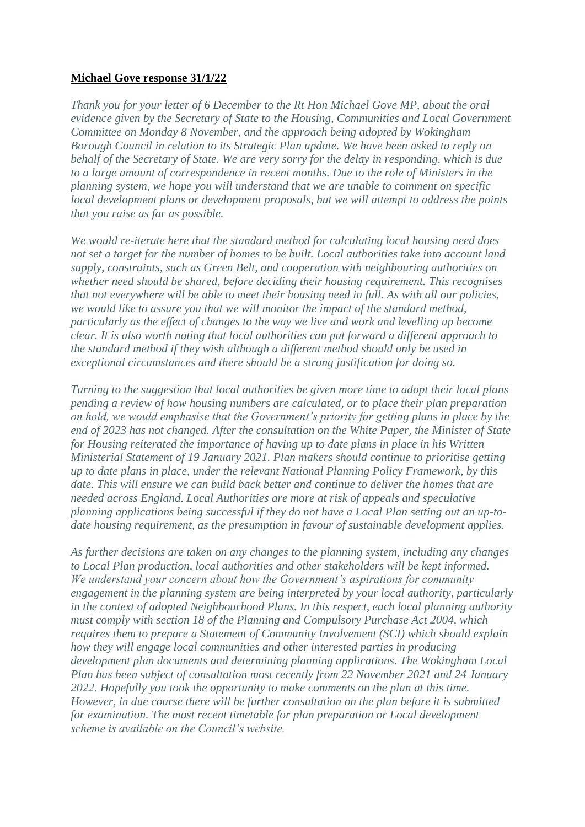## **Michael Gove response 31/1/22**

*[Thank you for your letter of 6 December to the Rt Hon Michael Gove MP, about the oral](https://manage.wix.com/dashboard/42d0b760-4cbb-4a5d-8688-b2b22efb2cc7/blog/620282f7bf35cf19924f50c4/edit#viewer-undefined)  [evidence given by the Secretary of State to the Housing, Communities and Local Government](https://manage.wix.com/dashboard/42d0b760-4cbb-4a5d-8688-b2b22efb2cc7/blog/620282f7bf35cf19924f50c4/edit#viewer-undefined)  [Committee on Monday 8 November, and the approach being adopted by Wokingham](https://manage.wix.com/dashboard/42d0b760-4cbb-4a5d-8688-b2b22efb2cc7/blog/620282f7bf35cf19924f50c4/edit#viewer-undefined)  [Borough Council in relation to its Strategic Plan update. We have been asked to reply on](https://manage.wix.com/dashboard/42d0b760-4cbb-4a5d-8688-b2b22efb2cc7/blog/620282f7bf35cf19924f50c4/edit#viewer-undefined)  [behalf of the Secretary of State. We are very sorry for the delay in responding, which is due](https://manage.wix.com/dashboard/42d0b760-4cbb-4a5d-8688-b2b22efb2cc7/blog/620282f7bf35cf19924f50c4/edit#viewer-undefined)  [to a large amount of correspondence in recent months. Due to the role of Ministers in the](https://manage.wix.com/dashboard/42d0b760-4cbb-4a5d-8688-b2b22efb2cc7/blog/620282f7bf35cf19924f50c4/edit#viewer-undefined)  [planning system, we hope you will understand that we are unable to comment on specific](https://manage.wix.com/dashboard/42d0b760-4cbb-4a5d-8688-b2b22efb2cc7/blog/620282f7bf35cf19924f50c4/edit#viewer-undefined)  [local development plans or development proposals, but we will attempt to address the points](https://manage.wix.com/dashboard/42d0b760-4cbb-4a5d-8688-b2b22efb2cc7/blog/620282f7bf35cf19924f50c4/edit#viewer-undefined)  [that you raise as far as possible.](https://manage.wix.com/dashboard/42d0b760-4cbb-4a5d-8688-b2b22efb2cc7/blog/620282f7bf35cf19924f50c4/edit#viewer-undefined)*

*We would re-iterate here that the standard method for calculating local housing need does not set a target for the number of homes to be built. Local authorities take into account land supply, constraints, such as Green Belt, and cooperation with neighbouring authorities on whether need should be shared, before deciding their housing requirement. This recognises that not everywhere will be able to meet their housing need in full. As with all our policies, we would like to assure you that we will monitor the impact of the standard method, particularly as the effect of changes to the way we live and work and levelling up become clear. It is also worth noting that local authorities can put forward a different approach to the standard method if they wish although a different method should only be used in exceptional circumstances and there should be a strong justification for doing so.*

*Turning to the suggestion that local authorities be given more time to adopt their local plans pending a review of how housing numbers are calculated, or to place their plan preparation on hold, we would emphasise that the Government's priority for getting plans in place by the end of 2023 has not changed. After the consultation on the White Paper, the Minister of State for Housing reiterated the importance of having up to date plans in place in his Written Ministerial Statement of 19 January 2021. Plan makers should continue to prioritise getting up to date plans in place, under the relevant National Planning Policy Framework, by this date. This will ensure we can build back better and continue to deliver the homes that are needed across England. Local Authorities are more at risk of appeals and speculative planning applications being successful if they do not have a Local Plan setting out an up-todate housing requirement, as the presumption in favour of sustainable development applies.*

*As further decisions are taken on any changes to the planning system, including any changes to Local Plan production, local authorities and other stakeholders will be kept informed. We understand your concern about how the Government's aspirations for community engagement in the planning system are being interpreted by your local authority, particularly in the context of adopted Neighbourhood Plans. In this respect, each local planning authority must comply with section 18 of the Planning and Compulsory Purchase Act 2004, which requires them to prepare a Statement of Community Involvement (SCI) which should explain how they will engage local communities and other interested parties in producing development plan documents and determining planning applications. The Wokingham Local Plan has been subject of consultation most recently from 22 November 2021 and 24 January 2022. Hopefully you took the opportunity to make comments on the plan at this time. However, in due course there will be further consultation on the plan before it is submitted for examination. The most recent timetable for plan preparation or Local development scheme is available on the Council's website.*